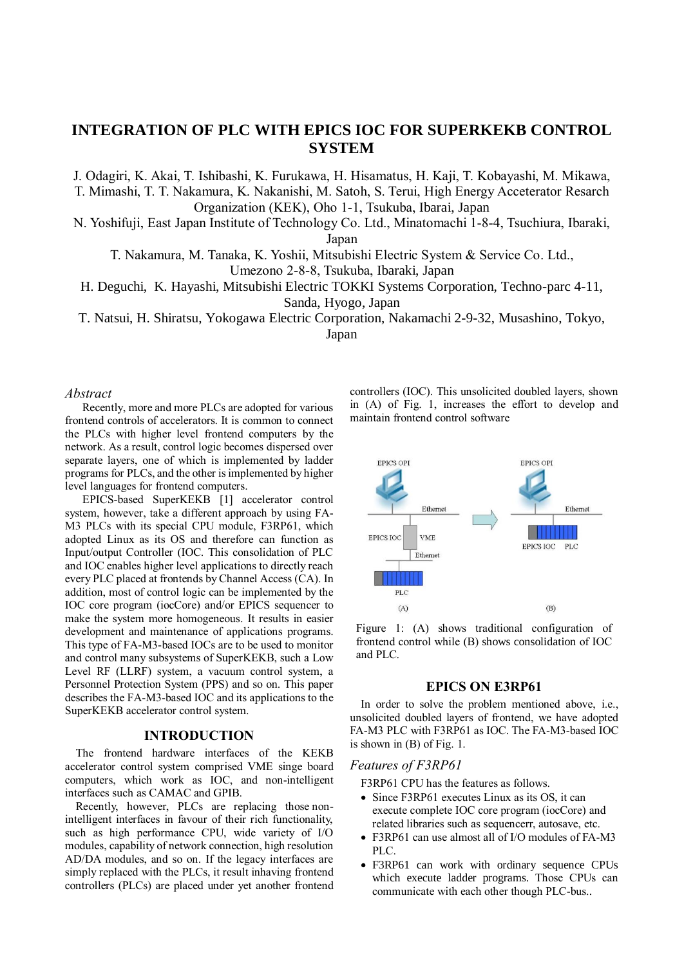# **INTEGRATION OF PLC WITH EPICS IOC FOR SUPERKEKB CONTROL SYSTEM**

J. Odagiri, K. Akai, T. Ishibashi, K. Furukawa, H. Hisamatus, H. Kaji, T. Kobayashi, M. Mikawa, T. Mimashi, T. T. Nakamura, K. Nakanishi, M. Satoh, S. Terui, High Energy Acceterator Resarch Organization (KEK), Oho 1-1, Tsukuba, Ibarai, Japan

N. Yoshifuji, East Japan Institute of Technology Co. Ltd., Minatomachi 1-8-4, Tsuchiura, Ibaraki, Japan

T. Nakamura, M. Tanaka, K. Yoshii, Mitsubishi Electric System & Service Co. Ltd.,

Umezono 2-8-8, Tsukuba, Ibaraki, Japan

H. Deguchi, K. Hayashi, Mitsubishi Electric TOKKI Systems Corporation, Techno-parc 4-11, Sanda, Hyogo, Japan

T. Natsui, H. Shiratsu, Yokogawa Electric Corporation, Nakamachi 2-9-32, Musashino, Tokyo,

Japan

#### *Abstract*

Recently, more and more PLCs are adopted for various frontend controls of accelerators. It is common to connect the PLCs with higher level frontend computers by the network. As a result, control logic becomes dispersed over separate layers, one of which is implemented by ladder programs for PLCs, and the other is implemented by higher level languages for frontend computers.

EPICS-based SuperKEKB [1] accelerator control system, however, take a different approach by using FA-M3 PLCs with its special CPU module, F3RP61, which adopted Linux as its OS and therefore can function as Input/output Controller (IOC. This consolidation of PLC and IOC enables higher level applications to directly reach every PLC placed at frontends by Channel Access (CA). In addition, most of control logic can be implemented by the IOC core program (iocCore) and/or EPICS sequencer to make the system more homogeneous. It results in easier development and maintenance of applications programs. This type of FA-M3-based IOCs are to be used to monitor and control many subsystems of SuperKEKB, such a Low Level RF (LLRF) system, a vacuum control system, a Personnel Protection System (PPS) and so on. This paper describes the FA-M3-based IOC and its applications to the SuperKEKB accelerator control system.

#### **INTRODUCTION**

The frontend hardware interfaces of the KEKB accelerator control system comprised VME singe board computers, which work as IOC, and non-intelligent interfaces such as CAMAC and GPIB.

Recently, however, PLCs are replacing those nonintelligent interfaces in favour of their rich functionality, such as high performance CPU, wide variety of I/O modules, capability of network connection, high resolution AD/DA modules, and so on. If the legacy interfaces are simply replaced with the PLCs, it result inhaving frontend controllers (PLCs) are placed under yet another frontend controllers (IOC). This unsolicited doubled layers, shown in (A) of Fig. 1, increases the effort to develop and maintain frontend control software



Figure 1: (A) shows traditional configuration of frontend control while (B) shows consolidation of IOC and PLC.

### **EPICS ON E3RP61**

In order to solve the problem mentioned above, i.e., unsolicited doubled layers of frontend, we have adopted FA-M3 PLC with F3RP61 as IOC. The FA-M3-based IOC is shown in (B) of Fig. 1.

## *Features of F3RP61*

F3RP61 CPU has the features as follows.

- Since F3RP61 executes Linux as its OS, it can execute complete IOC core program (iocCore) and related libraries such as sequencerr, autosave, etc.
- F3RP61 can use almost all of I/O modules of FA-M3 PLC.
- F3RP61 can work with ordinary sequence CPUs which execute ladder programs. Those CPUs can communicate with each other though PLC-bus..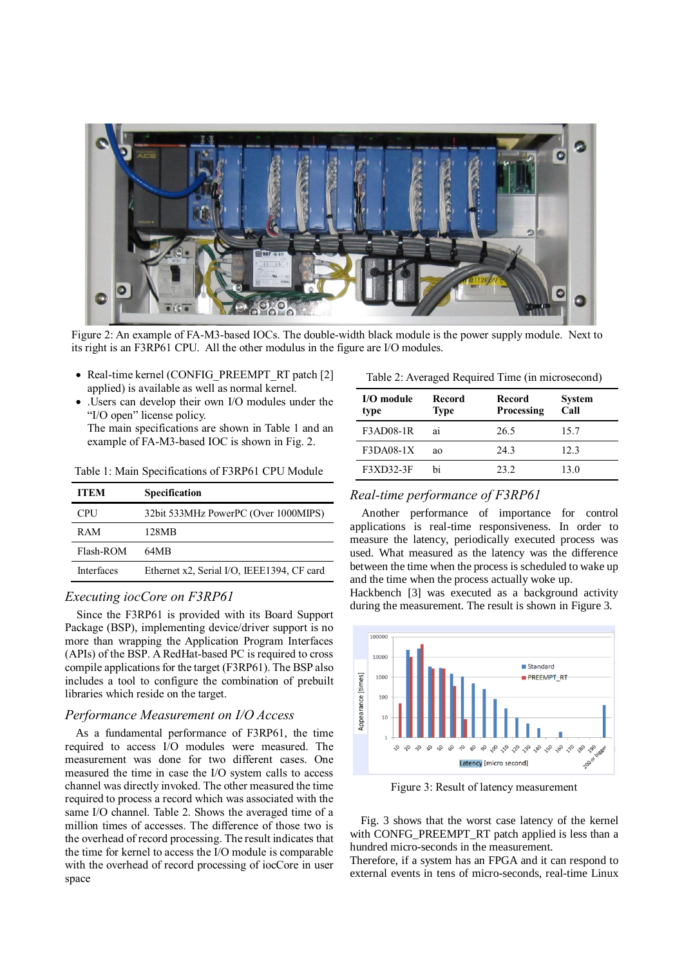

Figure 2: An example of FA-M3-based IOCs. The double-width black module is the power supply module. Next to its right is an F3RP61 CPU. All the other modulus in the figure are I/O modules.

- Real-time kernel (CONFIG\_PREEMPT\_RT patch [2] applied) is available as well as normal kernel.
- .Users can develop their own I/O modules under the "I/O open" license policy. The main specifications are shown in Table 1 and an example of FA-M3-based IOC is shown in Fig. 2.

| <b>ITEM</b>       | Specification                              |
|-------------------|--------------------------------------------|
| <b>CPU</b>        | 32bit 533MHz PowerPC (Over 1000MIPS)       |
| <b>RAM</b>        | 128MB                                      |
| Flash-ROM         | 64MB                                       |
| <b>Interfaces</b> | Ethernet x2, Serial I/O, IEEE1394, CF card |

Table 1: Main Specifications of F3RP61 CPU Module

## *Executing iocCore on F3RP61*

Since the F3RP61 is provided with its Board Support Package (BSP), implementing device/driver support is no more than wrapping the Application Program Interfaces (APIs) of the BSP. A RedHat-based PC is required to cross compile applications for the target (F3RP61). The BSP also includes a tool to configure the combination of prebuilt libraries which reside on the target.

## *Performance Measurement on I/O Access*

As a fundamental performance of F3RP61, the time required to access I/O modules were measured. The measurement was done for two different cases. One measured the time in case the I/O system calls to access channel was directly invoked. The other measured the time required to process a record which was associated with the same I/O channel. Table 2. Shows the averaged time of a million times of accesses. The difference of those two is the overhead of record processing. The result indicates that the time for kernel to access the I/O module is comparable with the overhead of record processing of iocCore in user space

| Table 2: Averaged Required Time (in microsecond) |  |
|--------------------------------------------------|--|
|                                                  |  |

| I/O module<br>type | Record<br><b>Type</b> | Record<br><b>Processing</b> | <b>System</b><br>Call |
|--------------------|-----------------------|-----------------------------|-----------------------|
| F3AD08-1R          | a1                    | 26.5                        | 15.7                  |
| $F3DAO8-1X$        | ao                    | 243                         | 12.3                  |
| <b>F3XD32-3F</b>   | hi                    | 23.2                        | 13.0                  |

## *Real-time performance of F3RP61*

Another performance of importance for control applications is real-time responsiveness. In order to measure the latency, periodically executed process was used. What measured as the latency was the difference between the time when the process is scheduled to wake up and the time when the process actually woke up.

Hackbench [3] was executed as a background activity during the measurement. The result is shown in Figure 3.



Figure 3: Result of latency measurement

Fig. 3 shows that the worst case latency of the kernel with CONFG\_PREEMPT\_RT patch applied is less than a hundred micro-seconds in the measurement.

Therefore, if a system has an FPGA and it can respond to external events in tens of micro-seconds, real-time Linux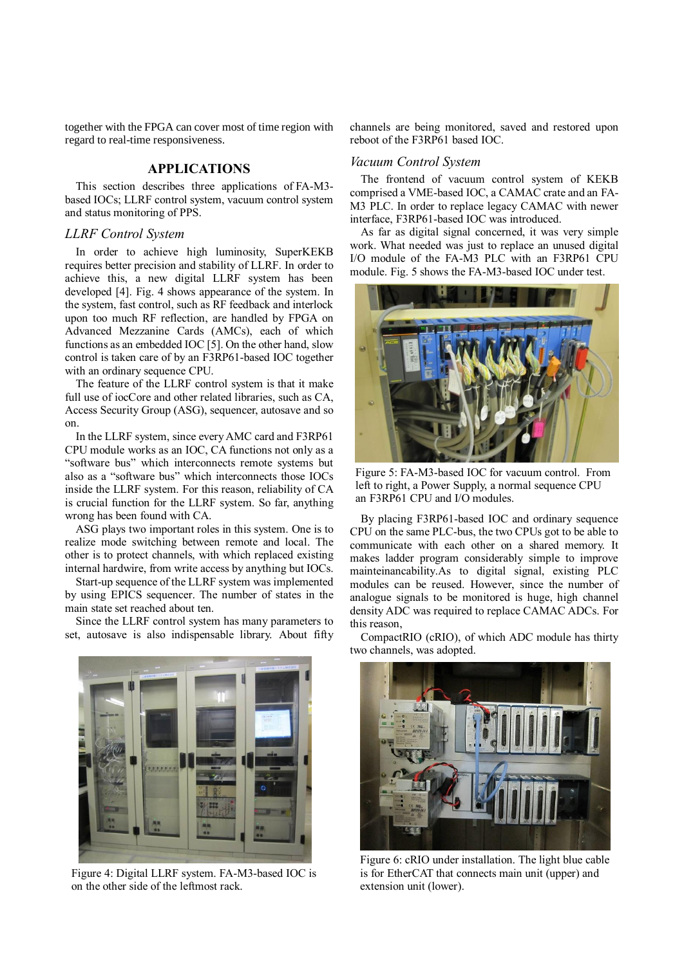together with the FPGA can cover most of time region with regard to real-time responsiveness.

# **APPLICATIONS**

This section describes three applications of FA-M3 based IOCs; LLRF control system, vacuum control system and status monitoring of PPS.

# *LLRF Control System*

In order to achieve high luminosity, SuperKEKB requires better precision and stability of LLRF. In order to achieve this, a new digital LLRF system has been developed [4]. Fig. 4 shows appearance of the system. In the system, fast control, such as RF feedback and interlock upon too much RF reflection, are handled by FPGA on Advanced Mezzanine Cards (AMCs), each of which functions as an embedded IOC [5]. On the other hand, slow control is taken care of by an F3RP61-based IOC together with an ordinary sequence CPU.

The feature of the LLRF control system is that it make full use of iocCore and other related libraries, such as CA, Access Security Group (ASG), sequencer, autosave and so on.

In the LLRF system, since every AMC card and F3RP61 CPU module works as an IOC, CA functions not only as a "software bus" which interconnects remote systems but also as a "software bus" which interconnects those IOCs inside the LLRF system. For this reason, reliability of CA is crucial function for the LLRF system. So far, anything wrong has been found with CA.

ASG plays two important roles in this system. One is to realize mode switching between remote and local. The other is to protect channels, with which replaced existing internal hardwire, from write access by anything but IOCs.

Start-up sequence of the LLRF system was implemented by using EPICS sequencer. The number of states in the main state set reached about ten.

Since the LLRF control system has many parameters to set, autosave is also indispensable library. About fifty

Figure 4: Digital LLRF system. FA-M3-based IOC is on the other side of the leftmost rack.

channels are being monitored, saved and restored upon reboot of the F3RP61 based IOC.

#### *Vacuum Control System*

The frontend of vacuum control system of KEKB comprised a VME-based IOC, a CAMAC crate and an FA-M3 PLC. In order to replace legacy CAMAC with newer interface, F3RP61-based IOC was introduced.

As far as digital signal concerned, it was very simple work. What needed was just to replace an unused digital I/O module of the FA-M3 PLC with an F3RP61 CPU module. Fig. 5 shows the FA-M3-based IOC under test.



Figure 5: FA-M3-based IOC for vacuum control. From left to right, a Power Supply, a normal sequence CPU an F3RP61 CPU and I/O modules.

By placing F3RP61-based IOC and ordinary sequence CPU on the same PLC-bus, the two CPUs got to be able to communicate with each other on a shared memory. It makes ladder program considerably simple to improve mainteinancability.As to digital signal, existing PLC modules can be reused. However, since the number of analogue signals to be monitored is huge, high channel density ADC was required to replace CAMAC ADCs. For this reason,

CompactRIO (cRIO), of which ADC module has thirty two channels, was adopted.



Figure 6: cRIO under installation. The light blue cable is for EtherCAT that connects main unit (upper) and extension unit (lower).